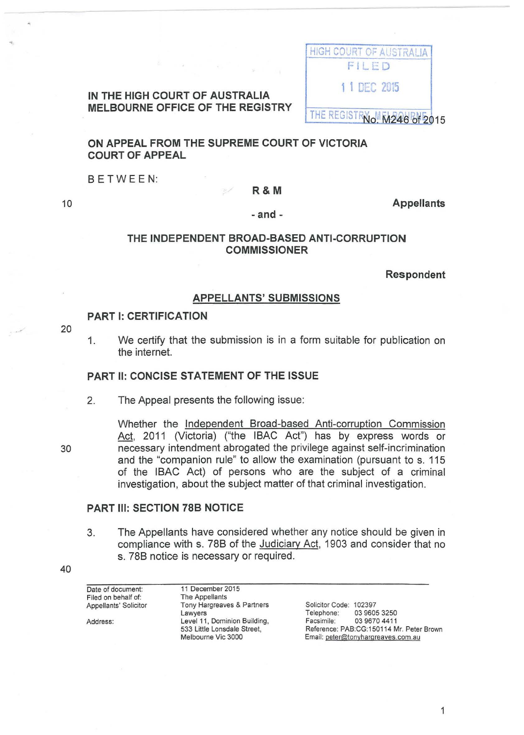|  | IN THE HIGH COURT OF AUSTRALIA          |  |  |
|--|-----------------------------------------|--|--|
|  | <b>MELBOURNE OFFICE OF THE REGISTRY</b> |  |  |



**ON APPEAL FROM THE SUPREME COURT OF VICTORIA COURT OF APPEAL** 

BETWEEN:

#### **R&M**

**Appellants** 

**-and-**

#### **THE INDEPENDENT BROAD-BASED ANTI-CORRUPTION COMMISSIONER**

**Respondent** 

#### **APPELLANTS' SUBMISSIONS**

#### **PART 1: CERTIFICATION**

20

10

1. We certify that the submission is in a form suitable for publication on the internet.

#### **PART II: CONCISE STATEMENT OF THE ISSUE**

2. The Appeal presents the following issue:

30

Whether the Independent Broad-based Anti-corruption Commission Act, 2011 (Victoria) ("the IBAC Act") has by express words or necessary intendment abrogated the privilege against self-incrimination and the "companion rule" to allow the examination (pursuant to s. 115 of the IBAC Act) of persons who are the subject of a criminal investigation, about the subject matter of that criminal investigation.

#### **PART Ill: SECTION 788 NOTICE**

3. The Appellants have considered whether any notice should be given in compliance with s. 788 of the Judiciary Act, 1903 and consider that no s. 788 notice is necessary or required.

| Date of document:     | 11 December 2015             |                                          |
|-----------------------|------------------------------|------------------------------------------|
| Filed on behalf of:   | The Appellants               |                                          |
| Appellants' Solicitor | Tony Hargreaves & Partners   | Solicitor Code: 102397                   |
|                       | Lawyers                      | 03 9605 3250<br>Telephone:               |
| Address:              | Level 11, Dominion Building, | Facsimile:<br>03 9670 4411               |
|                       | 533 Little Lonsdale Street,  | Reference: PAB:CG:150114 Mr. Peter Brown |
|                       | Melbourne Vic 3000           | Email: peter@tonyhargreaves.com.au       |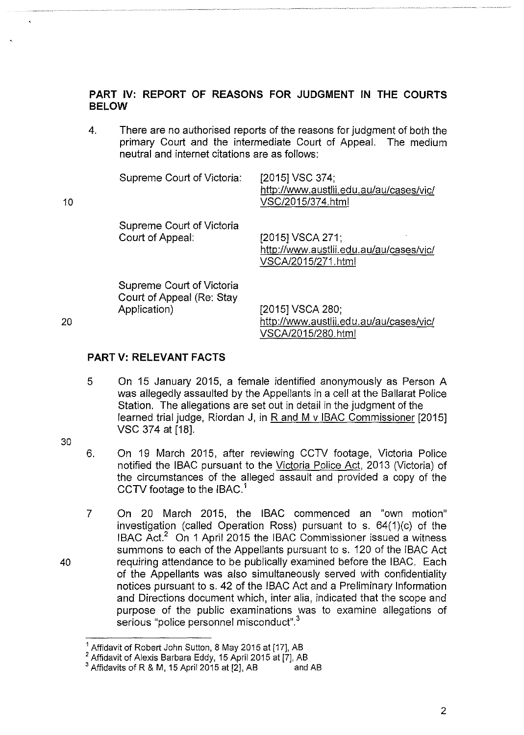## **PART IV: REPORT OF REASONS FOR JUDGMENT IN THE COURTS BELOW**

4. There are no authorised reports of the reasons for judgment of both the primary Court and the intermediate Court of Appeal. The medium neutral and internet citations are as follows:

| 10 | Supreme Court of Victoria:                                             | [2015] VSC 374:<br>http://www.austlii.edu.au/au/cases/vic/<br>VSC/2015/374.html   |
|----|------------------------------------------------------------------------|-----------------------------------------------------------------------------------|
|    | Supreme Court of Victoria<br>Court of Appeal:                          | [2015] VSCA 271;<br>http://www.austlii.edu.au/au/cases/vic/<br>VSCA/2015/271.html |
| 20 | Supreme Court of Victoria<br>Court of Appeal (Re: Stay<br>Application) | [2015] VSCA 280;<br>http://www.austlii.edu.au/au/cases/vic/                       |
|    |                                                                        | VSCA/2015/280.html                                                                |

20

## **PART V: RELEVANT FACTS**

5 On 15 January 2015, a female identified anonymously as Person A was allegedly assaulted by the Appellants in a cell at the Ballarat Police Station. The allegations are set out in detail in the judgment of the learned trial judge, Riordan J, in R and M v IBAC Commissioner [2015] VSC 374 at [18].

30

- 6. On 19 March 2015, after reviewing CCTV footage, Victoria Police notified the IBAC pursuant to the Victoria Police Act, 2013 (Victoria) of the circumstances of the alleged assault and provided a copy of the CCTV footage to the IBAC.<sup>1</sup>
- 7 On 20 March 2015, the IBAC commenced an "own motion" investigation (called Operation Ross) pursuant to s. 64(1)(c) of the IBAC Act.2 On 1 April 2015 the IBAC Commissioner issued a witness summons to each of the Appellants pursuant to s. 120 of the IBAC Act requiring attendance to be publically examined before the IBAC. Each of the Appellants was also simultaneously served with confidentiality notices pursuant to s. 42 of the IBAC Act and a Preliminary Information and Directions document which, inter alia, indicated that the scope and purpose of the public examinations was to examine allegations of serious "police personnel misconduct".<sup>3</sup>

Affidavit of Robert John Sutton, 8 May 2015 at [17], AB

<sup>2</sup>Affidavit of Alexis Barbara Eddy, 15 April 2015 at [7], AB

Affidavits of R & M, 15 April 2015 at [2], AB and AB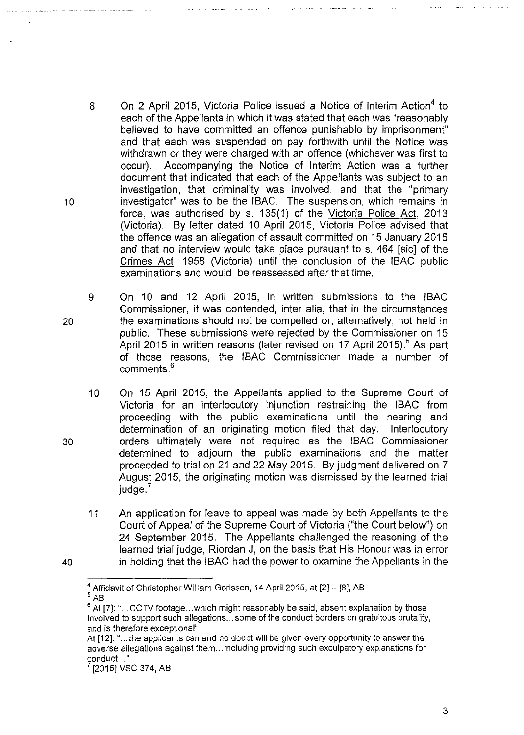- 8 On 2 April 2015, Victoria Police issued a Notice of Interim Action<sup>4</sup> to each of the Appellants in which it was stated that each was "reasonably believed to have committed an offence punishable by imprisonment" and that each was suspended on pay forthwith until the Notice was withdrawn or they were charged with an offence (whichever was first to occur). Accompanying the Notice of Interim Action was a further document that indicated that each of the Appellants was subject to an investigation, that criminality was involved, and that the "primary investigator" was to be the IBAC. The suspension, which remains in force, was authorised by s. 135(1) of the Victoria Police Act, 2013 (Victoria). By letter dated 10 April 2015, Victoria Police advised that the offence was an allegation of assault committed on 15 January 2015 and that no interview would take place pursuant to s. 464 [sic] of the Crimes Act, 1958 (Victoria) until the conclusion of the IBAC public examinations and would be reassessed after that time.
- 9 On 10 and 12 April 2015, in written submissions to the IBAC Commissioner, it was contended, inter alia, that in the circumstances the examinations should not be compelled or, alternatively, not held in public. These submissions were rejected by the Commissioner on 15 April 2015 in written reasons (later revised on 17 April 2015).<sup>5</sup> As part of those reasons, the IBAC Commissioner made a number of comments.<sup>6</sup>
	- 10 On 15 April 2015, the Appellants applied to the Supreme Court of Victoria for an interlocutory injunction restraining the IBAC from proceeding with the public examinations until the hearing and determination of an originating motion filed that day. Interlocutory orders ultimately were not required as the IBAC Commissioner determined to adjourn the public examinations and the matter proceeded to trial on 21 and 22 May 2015. By judgment delivered on 7 August 2015, the originating motion was dismissed by the learned trial  $i$ udge. $7$
	- 11 An application for leave to appeal was made by both Appellants to the Court of Appeal of the Supreme Court of Victoria ("the Court below") on 24 September 2015. The Appellants challenged the reasoning of the learned trial judge, Riordan J, on the basis that His Honour was in error in holding that the IBAC had the power to examine the Appellants in the

10

20

30

 $^4$  Affidavit of Christopher William Gorissen, 14 April 2015, at [2] - [8], AB  $\frac{5}{6}$  AB<br> $\frac{6}{4}$  H

At [7]: "... CCTV footage... which might reasonably be said, absent explanation by those involved to support such allegations ... some of the conduct borders on gratuitous brutality, and is therefore exceptional"

At [12]: "... the applicants can and no doubt will be given every opportunity to answer the adverse allegations against them ... including providing such exculpatory explanations for conduct..."

<sup>[2015]</sup> VSC 374, AB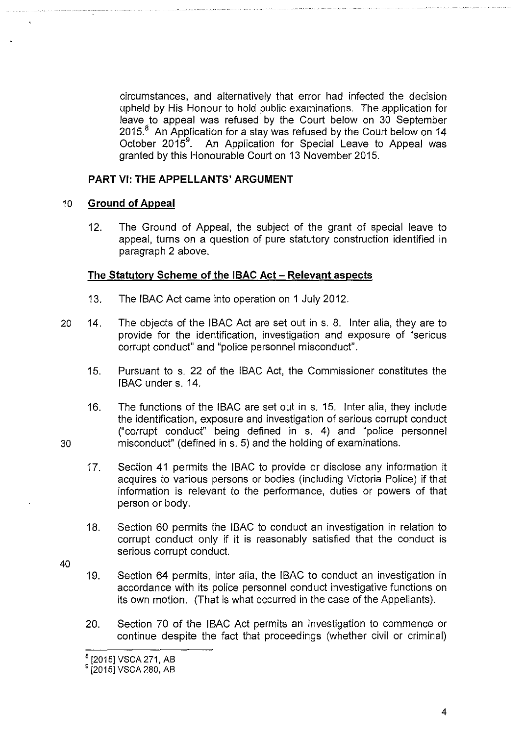circumstances, and alternatively that error had infected the decision upheld by His Honour to hold public examinations. The application for leave to appeal was refused by the Court below on 30 September  $2015<sup>8</sup>$  An Application for a stay was refused by the Court below on 14 October  $2015^9$ . . An Application for Special Leave to Appeal was granted by this Honourable Court on 13 November 2015.

## **PART VI: THE APPELLANTS' ARGUMENT**

## 10 **Ground of Appeal**

12. The Ground of Appeal, the subject of the grant of special leave to appeal, turns on a question of pure statutory construction identified in paragraph 2 above.

## **The Statutory Scheme of the IBAC Act- Relevant aspects**

- 13. The IBAC Act came into operation on 1 July 2012.
- 20 14. The objects of the IBAC Act are set out in s. 8. Inter alia, they are to provide for the identification, investigation and exposure of "serious corrupt conduct" and "police personnel misconduct".
	- 15. Pursuant to s. 22 of the IBAC Act, the Commissioner constitutes the IBAC under s. 14.
- 16. The functions of the IBAC are set out in s. 15. Inter alia, they include the identification, exposure and investigation of serious corrupt conduct ("corrupt conduct" being defined in s. 4) and "police personnel 30 misconduct" (defined ins. 5) and the holding of examinations.
	- 17. Section 41 permits the IBAC to provide or disclose any information it acquires to various persons or bodies (including Victoria Police) if that information is relevant to the performance, duties or powers of that person or body.
	- 18. Section 60 permits the IBAC to conduct an investigation in relation to corrupt conduct only if it is reasonably satisfied that the conduct is serious corrupt conduct.
- 40
- 19. Section 64 permits, inter alia, the IBAC to conduct an investigation in accordance with its police personnel conduct investigative functions on its own motion. (That is what occurred in the case of the Appellants).
- 20. Section 70 of the IBAC Act permits an investigation to commence or continue despite the fact that proceedings (whether civil or criminal)

<sup>&</sup>lt;sup>8</sup> [2015] VSCA 271, AB

<sup>&</sup>lt;sup>9</sup> [2015] VSCA 280, AB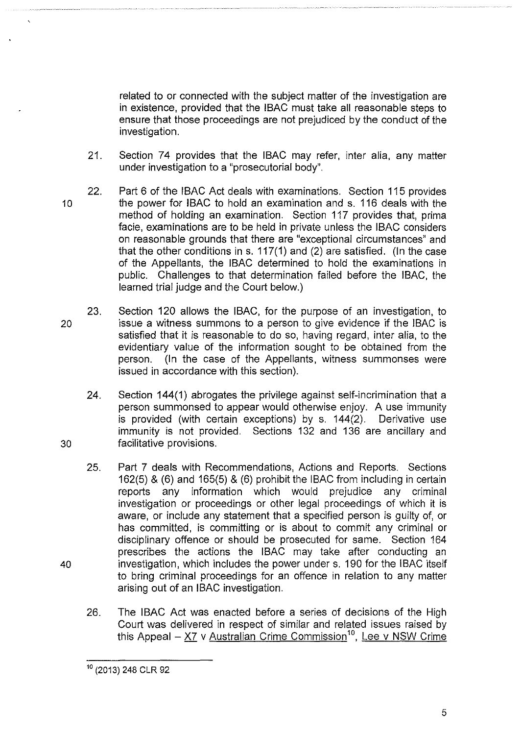related to or connected with the subject matter of the investigation are in existence, provided that the IBAC must take all reasonable steps to ensure that those proceedings are not prejudiced by the conduct of the investigation.

- 21. Section 74 provides that the IBAC may refer, inter alia, any matter under investigation to a "prosecutorial body".
- 22. Part 6 of the IBAC Act deals with examinations. Section 115 provides 10 the power for IBAC to hold an examination and s. 116 deals with the method of holding an examination. Section 117 provides that, prima facie, examinations are to be held in private unless the IBAC considers on reasonable grounds that there are "exceptional circumstances" and that the other conditions in s.  $117(1)$  and (2) are satisfied. (In the case of the Appellants, the IBAC determined to hold the examinations in public. Challenges to that determination failed before the IBAC, the learned trial judge and the Court below.)
- 23. Section 120 allows the IBAC, for the purpose of an investigation, to 20 issue a witness summons to a person to give evidence if the IBAC is satisfied that it is reasonable to do so, having regard, inter alia, to the evidentiary value of the information sought to be obtained from the person. (In the case of the Appellants, witness summonses were issued in accordance with this section).
- 24. Section 144(1) abrogates the privilege against self-incrimination that a person summonsed to appear would otherwise enjoy. A use immunity is provided (with certain exceptions) by s. 144(2). Derivative use immunity is not provided. Sections 132 and 136 are ancillary and 30 facilitative provisions.
- 25. Part 7 deals with Recommendations, Actions and Reports. Sections 162(5) & (6) and 165(5) & (6) prohibit the IBAC from including in certain reports any information which would prejudice any criminal investigation or proceedings or other legal proceedings of which it is aware, or include any statement that a specified person is guilty of, or has committed, is committing or is about to commit any criminal or disciplinary offence or should be prosecuted for same. Section 164 prescribes the actions the IBAC may take after conducting an 40 investigation, which includes the power under s. 190 for the IBAC itself to bring criminal proceedings for an offence in relation to any matter arising out of an IBAC investigation.
	- 26. The IBAC Act was enacted before a series of decisions of the High Court was delivered in respect of similar and related issues raised by this Appeal - X7 v Australian Crime Commission<sup>10</sup>, Lee v NSW Crime

<sup>&</sup>lt;sup>10</sup> (2013) 248 CLR 92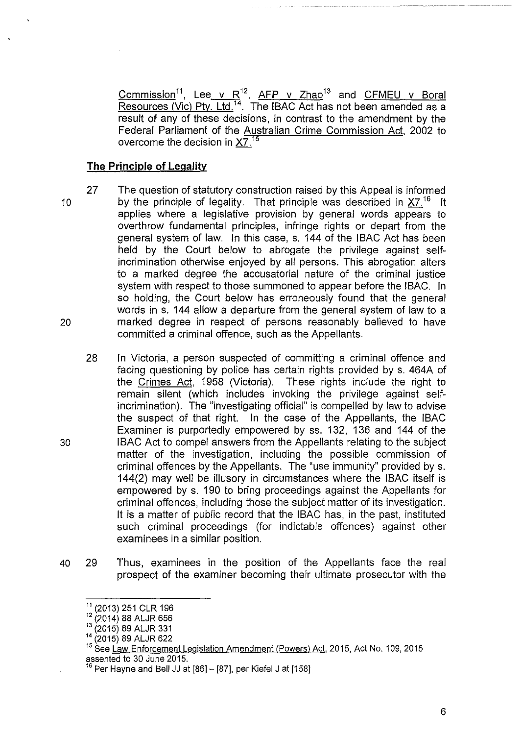<u>Commission $^{11}$ , Lee v R $^{12}$ , AFP v Zhao $^{13}$  and CFMEU v Boral</u> Resources (Vic) Pty. Ltd.<sup>14</sup>. The IBAC Act has not been amended as a result of any of these decisions, in contrast to the amendment by the Federal Parliament of the Australian Crime Commission Act, 2002 to overcome the decision in X7.<sup>15</sup>

### **The Principle of Legality**

- 10 20 27 The question of statutory construction raised by this Appeal is informed by the principle of legality. That principle was described in  $X7$ .<sup>16</sup> It applies where a legislative provision by general words appears to overthrow fundamental principles, infringe rights or depart from the general system of law. In this case, s. 144 of the IBAC Act has been held by the Court below to abrogate the privilege against selfincrimination otherwise enjoyed by all persons. This abrogation alters to a marked degree the accusatorial nature of the criminal justice system with respect to those summoned to appear before the IBAC. In so holding, the Court below has erroneously found that the general words in s. 144 allow a departure from the general system of law to a marked degree in respect of persons reasonably believed to have committed a criminal offence, such as the Appellants.
	- 28 In Victoria, a person suspected of committing a criminal offence and facing questioning by police has certain rights provided by s. 464A of the Crimes Act, 1958 (Victoria). These rights include the right to remain silent (which includes invoking the privilege against selfincrimination). The "investigating official" is compelled by law to advise the suspect of that right. In the case of the Appellants, the IBAC Examiner is purportedly empowered by ss. 132, 136 and 144 of the IBAC Act to compel answers from the Appellants relating to the subject matter of the investigation, including the possible commission of criminal offences by the Appellants. The "use immunity" provided by s. 144(2) may well be illusory in circumstances where the IBAC itself is empowered by s. 190 to bring proceedings against the Appellants for criminal offences, including those the subject matter of its investigation. It is a matter of public record that the IBAC has, in the past, instituted such criminal proceedings (for indictable offences) against other examinees in a similar position.
- 40 29 Thus, examinees in the position of the Appellants face the real prospect of the examiner becoming their ultimate prosecutor with the

<sup>11</sup>(2013) 251 CLR 196

<sup>12</sup>(2014) 88 ALJR 656

<sup>13</sup>(2015) 89 ALJR 331

<sup>14</sup>(2015) 89 ALJR 622

<sup>&</sup>lt;sup>15</sup> See Law Enforcement Legislation Amendment (Powers) Act, 2015, Act No. 109, 2015 assented to 30 June 2015.

 $16$  Per Hayne and Bell JJ at [86] - [87], per Kiefel J at [158]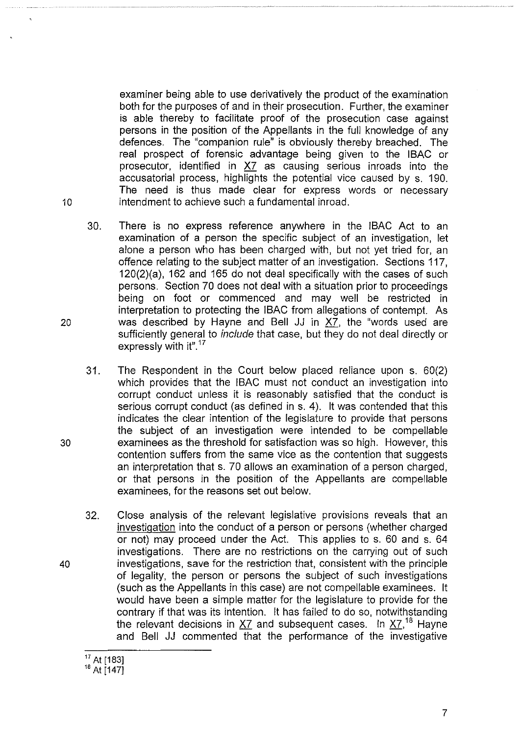examiner being able to use derivatively the product of the examination both for the purposes of and in their prosecution. Further, the examiner is able thereby to facilitate proof of the prosecution case against persons in the position of the Appellants in the full knowledge of any defences. The "companion rule" is obviously thereby breached. The real prospect of forensic advantage being given to the IBAC or prosecutor, identified in X7 as causing serious inroads into the accusatorial process, highlights the potential vice caused by s. 190. The need is thus made clear for express words or necessary 10 intendment to achieve such a fundamental inroad.

- 30. There is no express reference anywhere in the IBAC Act to an examination of a person the specific subject of an investigation, let alone a person who has been charged with, but not yet tried for, an offence relating to the subject matter of an investigation. Sections 117, 120(2)(a), 162 and 165 do not deal specifically with the cases of such persons. Section 70 does not deal with a situation prior to proceedings being on foot or commenced and may well be restricted in interpretation to protecting the IBAC from allegations of contempt. As 20 was described by Hayne and Bell JJ in  $X7$ , the "words used are sufficiently general to include that case, but they do not deal directly or expressly with it".<sup>17</sup>
- 31. The Respondent in the Court below placed reliance upon s. 60(2) which provides that the IBAC must not conduct an investigation into corrupt conduct unless it is reasonably satisfied that the conduct is serious corrupt conduct (as defined in s. 4). It was contended that this indicates the clear intention of the legislature to provide that persons the subject of an investigation were intended to be compellable 30 examinees as the threshold for satisfaction was so high. However, this contention suffers from the same vice as the contention that suggests an interpretation that s. 70 allows an examination of a person charged, or that persons in the position of the Appellants are compellable examinees, for the reasons set out below.
- 32. Close analysis of the relevant legislative provisions reveals that an investigation into the conduct of a person or persons (whether charged or not) may proceed under the Act. This applies to s. 60 and s. 64 investigations. There are no restrictions on the carrying out of such 40 investigations, save for the restriction that, consistent with the principle of legality, the person or persons the subject of such investigations (such as the Appellants in this case) are not compellable examinees. It would have been a simple matter for the legislature to provide for the contrary if that was its intention. It has failed to do so, notwithstanding the relevant decisions in  $XZ$  and subsequent cases. In  $XZ$ <sup>18</sup> Hayne and Bell JJ commented that the performance of the investigative

 $17$  At [183]  $18$  At [147]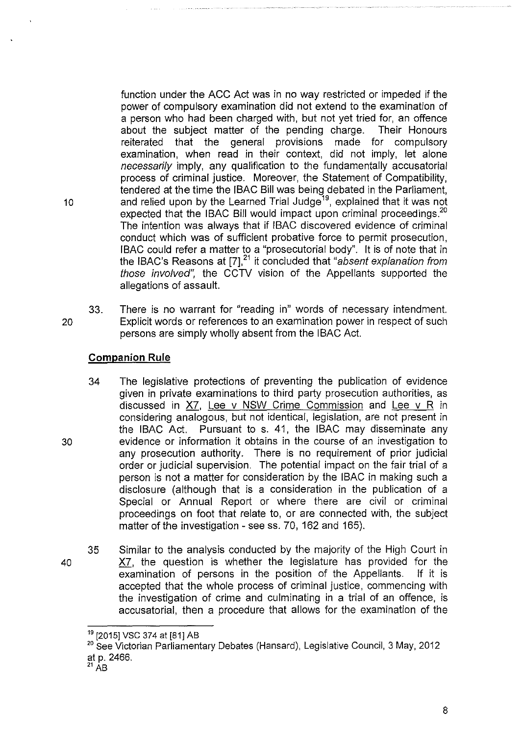function under the ACC Act was in no way restricted or impeded if the power of compulsory examination did not extend to the examination of a person who had been charged with, but not yet tried for, an offence about the subject matter of the pending charge. Their Honours reiterated that the general provisions made for compulsory examination, when read in their context, did not imply, let alone necessarily imply, any qualification to the fundamentally accusatorial process of criminal justice. Moreover, the Statement of Compatibility, tendered at the time the IBAC Bill was being debated in the Parliament, 10 and relied upon by the Learned Trial Judge<sup>19</sup>, explained that it was not expected that the IBAC Bill would impact upon criminal proceedings.<sup>20</sup> The intention was always that if IBAC discovered evidence of criminal conduct which was of sufficient probative force to permit prosecution, IBAC could refer a matter to a "prosecutorial body". It is of note that in the IBAC's Reasons at [7],<sup>21</sup> it concluded that "absent explanation from those involved", the CCTV vision of the Appellants supported the allegations of assault.

33. There is no warrant for "reading in" words of necessary intendment. 20 Explicit words or references to an examination power in respect of such persons are simply wholly absent from the IBAC Act.

# **Companion Rule**

- 34 The legislative protections of preventing the publication of evidence given in private examinations to third party prosecution authorities, as discussed in X?, Lee v NSW Crime Commission and Lee v R in considering analogous, but not identical, legislation, are not present in the IBAC Act. Pursuant to s. 41, the IBAC may disseminate any evidence or information it obtains in the course of an investigation to any prosecution authority. There is no requirement of prior judicial order or judicial supervision. The potential impact on the fair trial of a person is not a matter for consideration by the IBAC in making such a disclosure (although that is a consideration in the publication of a Special or Annual Report or where there are civil or criminal proceedings on foot that relate to, or are connected with, the subject matter of the investigation - see ss. 70, 162 and 165).
- 35 Similar to the analysis conducted by the majority of the High Court in X?, the question is whether the legislature has provided for the examination of persons in the position of the Appellants. If it is accepted that the whole process of criminal justice, commencing with the investigation of crime and culminating in a trial of an offence, is accusatorial, then a procedure that allows for the examination of the

8

40

<sup>&</sup>lt;sup>19</sup> [2015] VSC 374 at [81] AB

<sup>&</sup>lt;sup>20</sup> See Victorian Parliamentary Debates (Hansard), Legislative Council, 3 May, 2012 at p. 2466.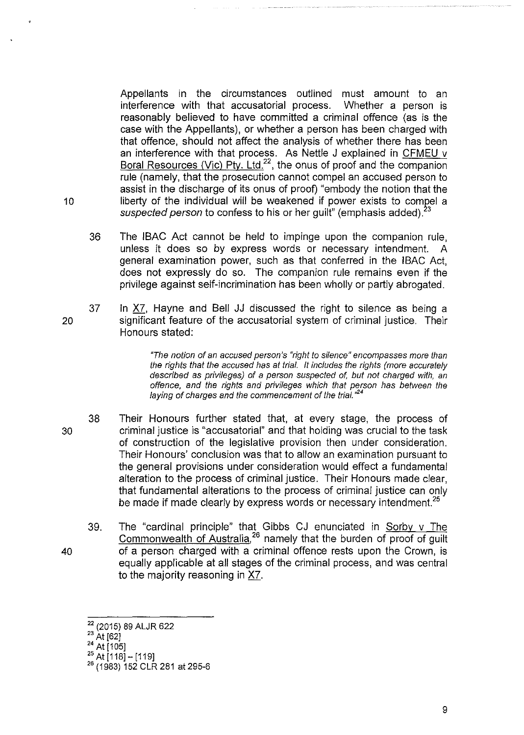Appellants in the circumstances outlined must amount to an interference with that accusatorial process. Whether a person is reasonably believed to have committed a criminal offence (as is the case with the Appellants), or whether a person has been charged with that offence, should not affect the analysis of whether there has been an interference with that process. As Nettle J explained in CFMEU v Boral Resources (Vic) Pty. Ltd.<sup>22</sup>, the onus of proof and the companion rule (namely, that the prosecution cannot compel an accused person to assist in the discharge of its onus of proof) "embody the notion that the liberty of the individual will be weakened if power exists to compel a suspected person to confess to his or her guilt" (emphasis added).<sup>2</sup>

- 36 The IBAC Act cannot be held to impinge upon the companion rule, unless it does so by express words or necessary intendment. general examination power, such as that conferred in the IBAC Act, does not expressly do so. The companion rule remains even if the privilege against self-incrimination has been wholly or partly abrogated.
- 20 37 In X7, Hayne and Bell JJ discussed the right to silence as being a significant feature of the accusatorial system of criminal justice. Their Honours stated:

''The notion of an accused person's "right to silence" encompasses more than the rights that the accused has at trial. It includes the rights (more accurately described as privileges) of a person suspected of, but not charged with, an offence, and the rights and privileges which that person has between the laying of charges and the commencement of the trial."<sup>24</sup>

- 38 Their Honours further stated that, at every stage, the process of 30 criminal justice is "accusatorial" and that holding was crucial to the task of construction of the legislative provision then under consideration. Their Honours' conclusion was that to allow an examination pursuant to the general provisions under consideration would effect a fundamental alteration to the process of criminal justice. Their Honours made clear, that fundamental alterations to the process of criminal justice can only be made if made clearly by express words or necessary intendment.<sup>25</sup>
- 39. The "cardinal principle" that Gibbs CJ enunciated in Sorby v The Commonwealth of Australia, <sup>26</sup> namely that the burden of proof of guilt 40 of a person charged with a criminal offence rests upon the Crown, is equally applicable at all stages of the criminal process, and was central to the majority reasoning in X7.

9

<sup>22 (2015) 89</sup> ALJR 622

 $^{23}$  At [62]

*<sup>24</sup>*At (105]

 $25$  At [118] - [119]

<sup>26</sup>(1983) 152 CLR 281 at 295-6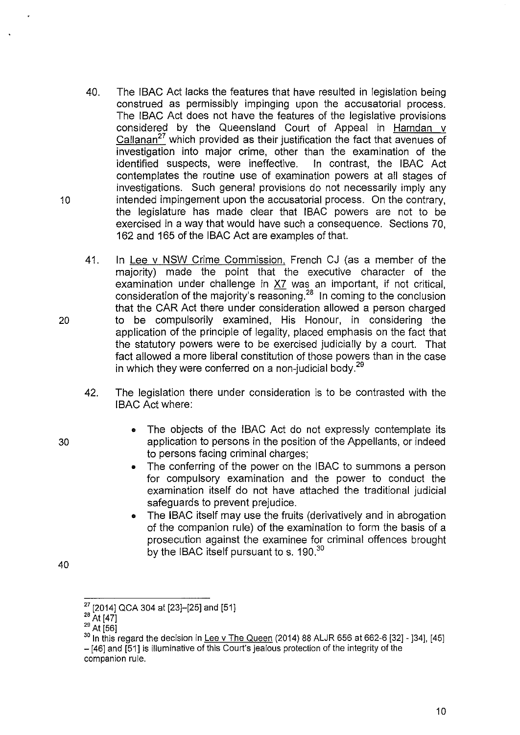- 40. The IBAC Act lacks the features that have resulted in legislation being construed as permissibly impinging upon the accusatorial process. The IBAC Act does not have the features of the legislative provisions considered by the Queensland Court of Appeal in Hamdan v Callanan<sup>27</sup> which provided as their justification the fact that avenues of investigation into major crime, other than the examination of the identified suspects, were ineffective. In contrast, the IBAC Act contemplates the routine use of examination powers at all stages of investigations. Such general provisions do not necessarily imply any 10 intended impingement upon the accusatorial process. On the contrary, the legislature has made clear that IBAC powers are not to be exercised in a way that would have such a consequence. Sections 70, 162 and 165 of the IBAC Act are examples of that.
- 41. In Lee v NSW Crime Commission, French CJ (as a member of the majority) made the point that the executive character of the examination under challenge in X7 was an important, if not critical, consideration of the majority's reasoning.<sup>28</sup> In coming to the conclusion that the CAR Act there under consideration allowed a person charged 20 to be compulsorily examined, His Honour, in considering the application of the principle of legality, placed emphasis on the fact that the statutory powers were to be exercised judicially by a court. That fact allowed a more liberal constitution of those powers than in the case in which they were conferred on a non-judicial body.<sup>29</sup>
	- 42. The legislation there under consideration is to be contrasted with the IBAC Act where:
- The objects of the IBAC Act do not expressly contemplate its 30 application to persons in the position of the Appellants, or indeed to persons facing criminal charges;
	- The conferring of the power on the IBAC to summons a person for compulsory examination and the power to conduct the examination itself do not have attached the traditional judicial safeguards to prevent prejudice.
	- The IBAC itself may use the fruits (derivatively and in abrogation of the companion rule) of the examination to form the basis of a prosecution against the examinee for criminal offences brought by the IBAC itself pursuant to s. 190.<sup>30</sup>

40

<sup>27 [2014]</sup> QCA 304 at [23]-[25] and [51]

 $^{28}$  At [47]

 $^{29}$  At [56]

 $30$  In this regard the decision in Lee v The Queen (2014) 88 ALJR 656 at 662-6 [32] - [34], [45] - [46] and [51] is illuminative of this Court's jealous protection of the integrity of the companion rule.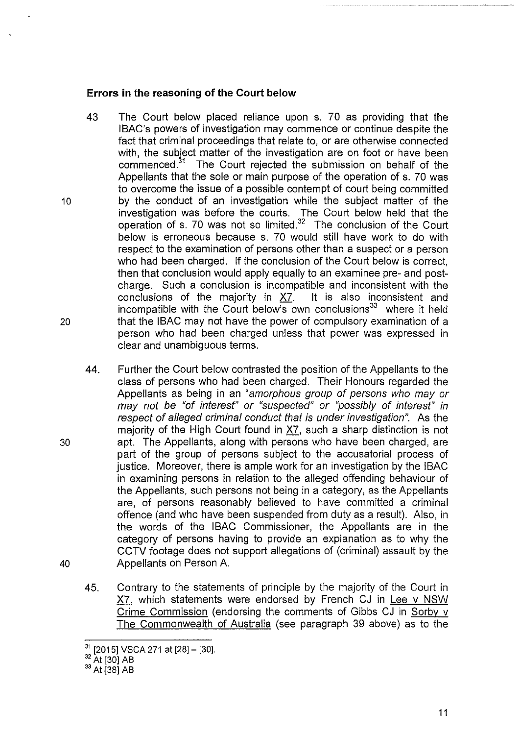#### **Errors in the reasoning of the Court below**

- 43 The Court below placed reliance upon s. 70 as providing that the IBAC's powers of investigation may commence or continue despite the fact that criminal proceedings that relate to, or are otherwise connected with, the subject matter of the investigation are on foot or have been commenced.<sup>31</sup> The Court rejected the submission on behalf of the The Court rejected the submission on behalf of the Appellants that the sole or main purpose of the operation of s. 70 was to overcome the issue of a possible contempt of court being committed 10 by the conduct of an investigation while the subject matter of the investigation was before the courts. The Court below held that the operation of s. 70 was not so limited. $32$  The conclusion of the Court below is erroneous because s. 70 would still have work to do with respect to the examination of persons other than a suspect or a person who had been charged. If the conclusion of the Court below is correct, then that conclusion would apply equally to an examinee pre- and postcharge. Such a conclusion is incompatible and inconsistent with the conclusions of the majority in X?. It is also inconsistent and incompatible with the Court below's own conclusions $33$  where it held 20 that the IBAC may not have the power of compulsory examination of a person who had been charged unless that power was expressed in clear and unambiguous terms.
- 44. Further the Court below contrasted the position of the Appellants to the class of persons who had been charged. Their Honours regarded the Appellants as being in an "amorphous group of persons who may or may not be "of interest" or "suspected" or "possibly of interest" in respect of alleged criminal conduct that is under investigation". As the majority of the High Court found in X?, such a sharp distinction is not 30 apt. The Appellants, along with persons who have been charged, are part of the group of persons subject to the accusatorial process of justice. Moreover, there is ample work for an investigation by the IBAC in examining persons in relation to the alleged offending behaviour of the Appellants, such persons not being in a category, as the Appellants are, of persons reasonably believed to have committed a criminal offence (and who have been suspended from duty as a result). Also, in the words of the IBAC Commissioner, the Appellants are in the category of persons having to provide an explanation as to why the CCTV footage does not support allegations of (criminal) assault by the 40 Appellants on Person A.
	- 45. Contrary to the statements of principle by the majority of the Court in X?, which statements were endorsed by French CJ in Lee v NSW Crime Commission (endorsing the comments of Gibbs CJ in Sorby v The Commonwealth of Australia (see paragraph 39 above) as to the

 $\frac{31}{1}$  [2015] VSCA 271 at [28] – [30].

<sup>&</sup>lt;sup>32</sup> At [30] AB

<sup>33</sup>At [38] AB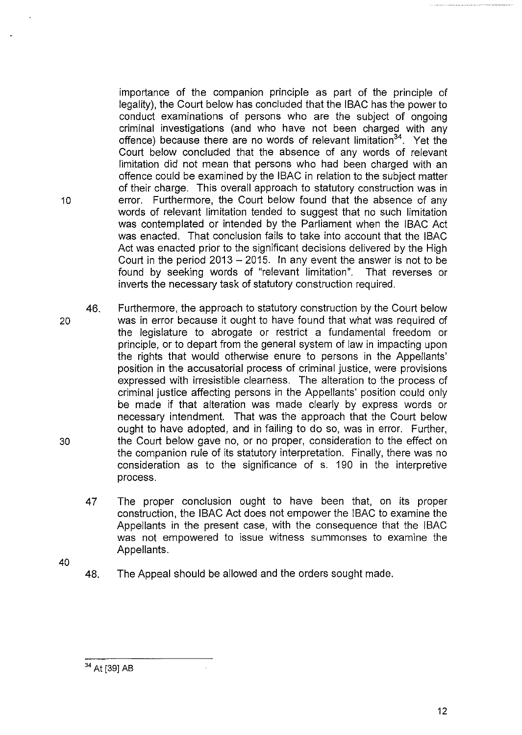importance of the companion principle as part of the principle of legality), the Court below has concluded that the IBAC has the power to conduct examinations of persons who are the subject of ongoing criminal investigations (and who have not been charged with any offence) because there are no words of relevant limitation<sup>34</sup>. Yet the Court below concluded that the absence of any words of relevant limitation did not mean that persons who had been charged with an offence could be examined by the IBAC in relation to the subject matter of their charge. This overall approach to statutory construction was in 10 **10** error. Furthermore, the Court below found that the absence of any words of relevant limitation tended to suggest that no such limitation was contemplated or intended by the Parliament when the IBAC Act was enacted. That conclusion fails to take into account that the IBAC Act was enacted prior to the significant decisions delivered by the High Court in the period  $2013 - 2015$ . In any event the answer is not to be found by seeking words of "relevant limitation". That reverses or inverts the necessary task of statutory construction required.

- 46. Furthermore, the approach to statutory construction by the Court below 20 was in error because it ought to have found that what was required of the legislature to abrogate or restrict a fundamental freedom or principle, or to depart from the general system of law in impacting upon the rights that would otherwise enure to persons in the Appellants' position in the accusatorial process of criminal justice, were provisions expressed with irresistible clearness. The alteration to the process of criminal justice affecting persons in the Appellants' position could only be made if that alteration was made clearly by express words or necessary intendment. That was the approach that the Court below ought to have adopted, and in failing to do so, was in error. Further, 30 the Court below gave no, or no proper, consideration to the effect on the companion rule of its statutory interpretation. Finally, there was no consideration as to the significance of s. 190 in the interpretive process.
	- 47 The proper conclusion ought to have been that, on its proper construction, the IBAC Act does not empower the IBAC to examine the Appellants in the present case, with the consequence that the IBAC was not empowered to issue witness summonses to examine the Appellants.
- 40
- 48. The Appeal should be allowed and the orders sought made.

<sup>34</sup> At [39] AB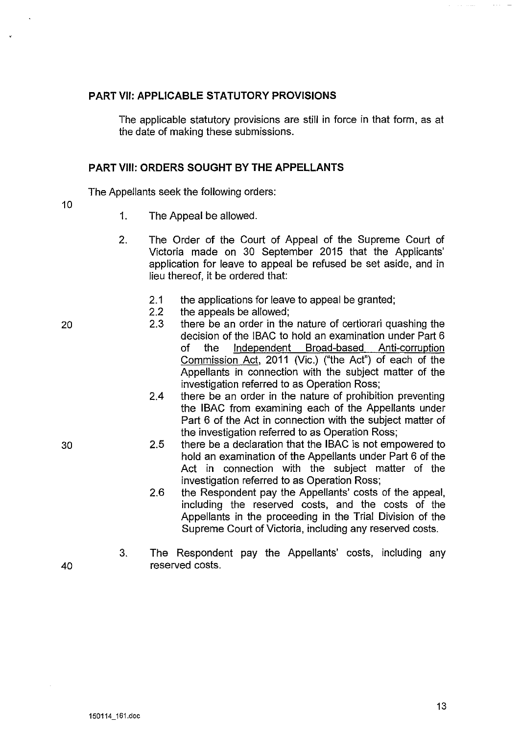#### **PART** VII: **APPLICABLE STATUTORY PROVISIONS**

The applicable statutory provisions are still in force in that form, as at the date of making these submissions.

#### **PART** VIII: **ORDERS SOUGHT BY THE APPELLANTS**

The Appellants seek the following orders:

10

- 1. The Appeal be allowed.
- 2. The Order of the Court of Appeal of the Supreme Court of Victoria made on 30 September 2015 that the Applicants' application for leave to appeal be refused be set aside, and in lieu thereof, it be ordered that:
	- 2.1 the applications for leave to appeal be granted;
	- 2.2 the appeals be allowed;
	- 2.3 there be an order in the nature of certiorari quashing the decision of the IBAC to hold an examination under Part 6 of the Independent Broad-based Anti-corruption Commission Act, 2011 (Vic.) ("the Act") of each of the Appellants in connection with the subject matter of the investigation referred to as Operation Ross;
	- 2.4 there be an order in the nature of prohibition preventing the IBAC from examining each of the Appellants under Part 6 of the Act in connection with the subject matter of the investigation referred to as Operation Ross;
	- 2.5 there be a declaration that the IBAC is not empowered to hold an examination of the Appellants under Part 6 of the Act in connection with the subject matter of the investigation referred to as Operation Ross;
	- 2.6 the Respondent pay the Appellants' costs of the appeal, including the reserved costs, and the costs of the Appellants in the proceeding in the Trial Division of the Supreme Court of Victoria, including any reserved costs.
- 3. The Respondent pay the Appellants' costs, including any reserved costs.

20